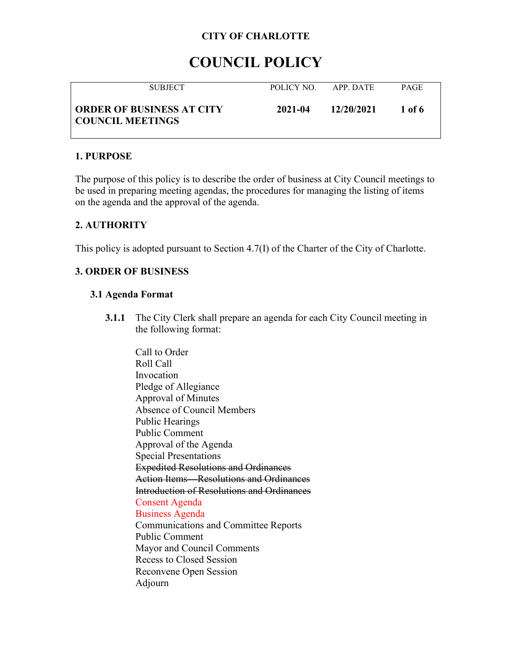# **COUNCIL POLICY**

| <b>SUBJECT</b>                                              | POLICY NO. | APP DATE   | <b>PAGE</b> |
|-------------------------------------------------------------|------------|------------|-------------|
| <b>ORDER OF BUSINESS AT CITY</b><br><b>COUNCIL MEETINGS</b> | 2021-04    | 12/20/2021 | 1 of 6      |

### **1. PURPOSE**

The purpose of this policy is to describe the order of business at City Council meetings to be used in preparing meeting agendas, the procedures for managing the listing of items on the agenda and the approval of the agenda.

## **2. AUTHORITY**

This policy is adopted pursuant to Section 4.7(I) of the Charter of the City of Charlotte.

# **3. ORDER OF BUSINESS**

### **3.1 Agenda Format**

**3.1.1** The City Clerk shall prepare an agenda for each City Council meeting in the following format:

Call to Order Roll Call Invocation Pledge of Allegiance Approval of Minutes Absence of Council Members Public Hearings Public Comment Approval of the Agenda Special Presentations Expedited Resolutions and Ordinances Action Items—Resolutions and Ordinances Introduction of Resolutions and Ordinances Consent Agenda Business Agenda Communications and Committee Reports Public Comment Mayor and Council Comments Recess to Closed Session Reconvene Open Session Adjourn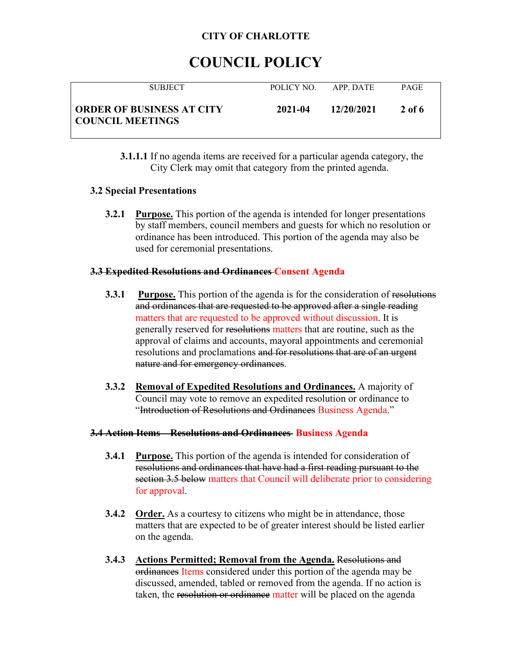# **COUNCIL POLICY**

| <b>SUBJECT</b>                                              | POLICY NO | APP DATE   | <b>PAGE</b> |
|-------------------------------------------------------------|-----------|------------|-------------|
| <b>ORDER OF BUSINESS AT CITY</b><br><b>COUNCIL MEETINGS</b> | 2021-04   | 12/20/2021 | 2 of 6      |

**3.1.1.1** If no agenda items are received for a particular agenda category, the City Clerk may omit that category from the printed agenda.

### **3.2 Special Presentations**

**3.2.1 Purpose.** This portion of the agenda is intended for longer presentations by staff members, council members and guests for which no resolution or ordinance has been introduced. This portion of the agenda may also be used for ceremonial presentations.

### **3.3 Expedited Resolutions and Ordinances Consent Agenda**

- **3.3.1 Purpose.** This portion of the agenda is for the consideration of resolutions and ordinances that are requested to be approved after a single reading matters that are requested to be approved without discussion. It is generally reserved for resolutions matters that are routine, such as the approval of claims and accounts, mayoral appointments and ceremonial resolutions and proclamations and for resolutions that are of an urgent nature and for emergency ordinances.
- **3.3.2 Removal of Expedited Resolutions and Ordinances.** A majority of Council may vote to remove an expedited resolution or ordinance to "Introduction of Resolutions and Ordinances Business Agenda."

### **3.4 Action Items—Resolutions and Ordinances Business Agenda**

- **3.4.1 Purpose.** This portion of the agenda is intended for consideration of resolutions and ordinances that have had a first reading pursuant to the section 3.5 below matters that Council will deliberate prior to considering for approval.
- **3.4.2 Order.** As a courtesy to citizens who might be in attendance, those matters that are expected to be of greater interest should be listed earlier on the agenda.
- **3.4.3 Actions Permitted; Removal from the Agenda.** Resolutions and ordinances Items considered under this portion of the agenda may be discussed, amended, tabled or removed from the agenda. If no action is taken, the resolution or ordinance matter will be placed on the agenda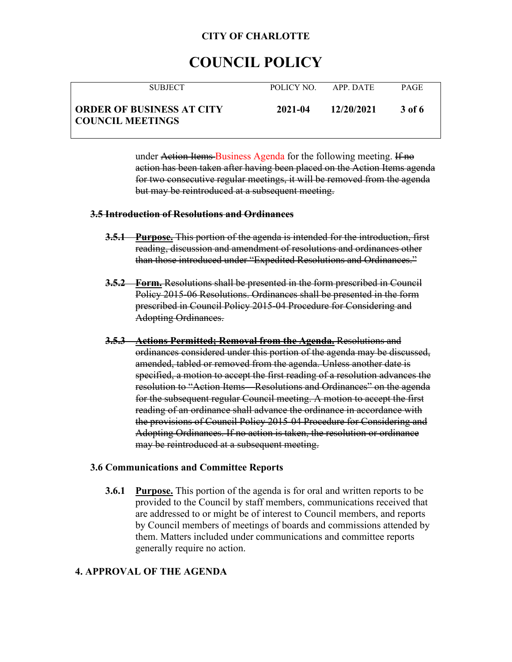# **COUNCIL POLICY**

| <b>SUBJECT</b>                                              | POLICY NO. | APP DATE   | <b>PAGE</b> |
|-------------------------------------------------------------|------------|------------|-------------|
| <b>ORDER OF BUSINESS AT CITY</b><br><b>COUNCIL MEETINGS</b> | 2021-04    | 12/20/2021 | -3 of 6     |

under Action Items Business Agenda for the following meeting. If no action has been taken after having been placed on the Action Items agenda for two consecutive regular meetings, it will be removed from the agenda but may be reintroduced at a subsequent meeting.

#### **3.5 Introduction of Resolutions and Ordinances**

- **3.5.1 Purpose.** This portion of the agenda is intended for the introduction, first reading, discussion and amendment of resolutions and ordinances other than those introduced under "Expedited Resolutions and Ordinances."
- **3.5.2 Form.** Resolutions shall be presented in the form prescribed in Council Policy 2015-06 Resolutions. Ordinances shall be presented in the form prescribed in Council Policy 2015-04 Procedure for Considering and Adopting Ordinances.
- **3.5.3 Actions Permitted; Removal from the Agenda.** Resolutions and ordinances considered under this portion of the agenda may be discussed, amended, tabled or removed from the agenda. Unless another date is specified, a motion to accept the first reading of a resolution advances the resolution to "Action Items—Resolutions and Ordinances" on the agenda for the subsequent regular Council meeting. A motion to accept the first reading of an ordinance shall advance the ordinance in accordance with the provisions of Council Policy 2015-04 Procedure for Considering and Adopting Ordinances. If no action is taken, the resolution or ordinance may be reintroduced at a subsequent meeting.

#### **3.6 Communications and Committee Reports**

**3.6.1 Purpose.** This portion of the agenda is for oral and written reports to be provided to the Council by staff members, communications received that are addressed to or might be of interest to Council members, and reports by Council members of meetings of boards and commissions attended by them. Matters included under communications and committee reports generally require no action.

### **4. APPROVAL OF THE AGENDA**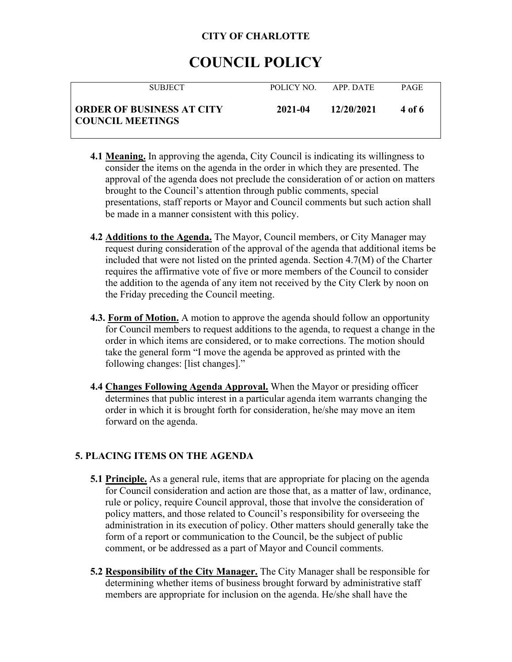# **COUNCIL POLICY**

| <b>SUBJECT</b>                                              | POLICY NO. | APP DATE   | <b>PAGE</b> |
|-------------------------------------------------------------|------------|------------|-------------|
| <b>ORDER OF BUSINESS AT CITY</b><br><b>COUNCIL MEETINGS</b> | 2021-04    | 12/20/2021 | 4 of 6      |

- **4.1 Meaning.** In approving the agenda, City Council is indicating its willingness to consider the items on the agenda in the order in which they are presented. The approval of the agenda does not preclude the consideration of or action on matters brought to the Council's attention through public comments, special presentations, staff reports or Mayor and Council comments but such action shall be made in a manner consistent with this policy.
- **4.2 Additions to the Agenda.** The Mayor, Council members, or City Manager may request during consideration of the approval of the agenda that additional items be included that were not listed on the printed agenda. Section 4.7(M) of the Charter requires the affirmative vote of five or more members of the Council to consider the addition to the agenda of any item not received by the City Clerk by noon on the Friday preceding the Council meeting.
- **4.3. Form of Motion.** A motion to approve the agenda should follow an opportunity for Council members to request additions to the agenda, to request a change in the order in which items are considered, or to make corrections. The motion should take the general form "I move the agenda be approved as printed with the following changes: [list changes]."
- **4.4 Changes Following Agenda Approval.** When the Mayor or presiding officer determines that public interest in a particular agenda item warrants changing the order in which it is brought forth for consideration, he/she may move an item forward on the agenda.

# **5. PLACING ITEMS ON THE AGENDA**

- **5.1 Principle.** As a general rule, items that are appropriate for placing on the agenda for Council consideration and action are those that, as a matter of law, ordinance, rule or policy, require Council approval, those that involve the consideration of policy matters, and those related to Council's responsibility for overseeing the administration in its execution of policy. Other matters should generally take the form of a report or communication to the Council, be the subject of public comment, or be addressed as a part of Mayor and Council comments.
- **5.2 Responsibility of the City Manager.** The City Manager shall be responsible for determining whether items of business brought forward by administrative staff members are appropriate for inclusion on the agenda. He/she shall have the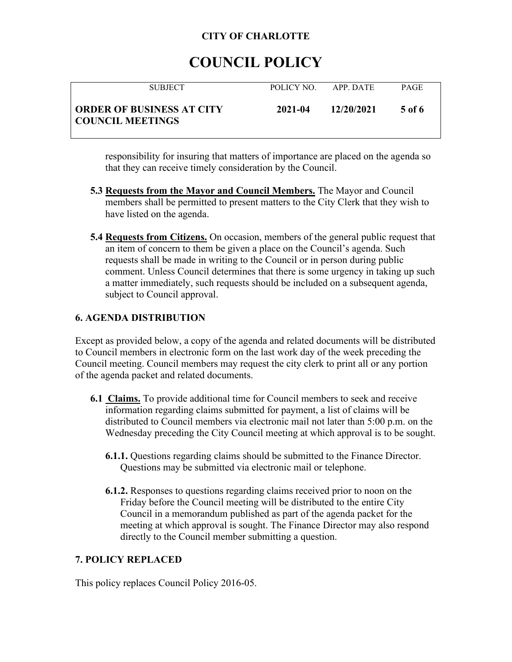# **COUNCIL POLICY**

| <b>SUBJECT</b>                                              | POLICY NO. | APP DATE   | <b>PAGE</b> |
|-------------------------------------------------------------|------------|------------|-------------|
| <b>ORDER OF BUSINESS AT CITY</b><br><b>COUNCIL MEETINGS</b> | 2021-04    | 12/20/2021 | 5 of 6      |

responsibility for insuring that matters of importance are placed on the agenda so that they can receive timely consideration by the Council.

- **5.3 Requests from the Mayor and Council Members.** The Mayor and Council members shall be permitted to present matters to the City Clerk that they wish to have listed on the agenda.
- **5.4 Requests from Citizens.** On occasion, members of the general public request that an item of concern to them be given a place on the Council's agenda. Such requests shall be made in writing to the Council or in person during public comment. Unless Council determines that there is some urgency in taking up such a matter immediately, such requests should be included on a subsequent agenda, subject to Council approval.

## **6. AGENDA DISTRIBUTION**

Except as provided below, a copy of the agenda and related documents will be distributed to Council members in electronic form on the last work day of the week preceding the Council meeting. Council members may request the city clerk to print all or any portion of the agenda packet and related documents.

- **6.1 Claims.** To provide additional time for Council members to seek and receive information regarding claims submitted for payment, a list of claims will be distributed to Council members via electronic mail not later than 5:00 p.m. on the Wednesday preceding the City Council meeting at which approval is to be sought.
	- **6.1.1.** Questions regarding claims should be submitted to the Finance Director. Questions may be submitted via electronic mail or telephone.
	- **6.1.2.** Responses to questions regarding claims received prior to noon on the Friday before the Council meeting will be distributed to the entire City Council in a memorandum published as part of the agenda packet for the meeting at which approval is sought. The Finance Director may also respond directly to the Council member submitting a question.

## **7. POLICY REPLACED**

This policy replaces Council Policy 2016-05.